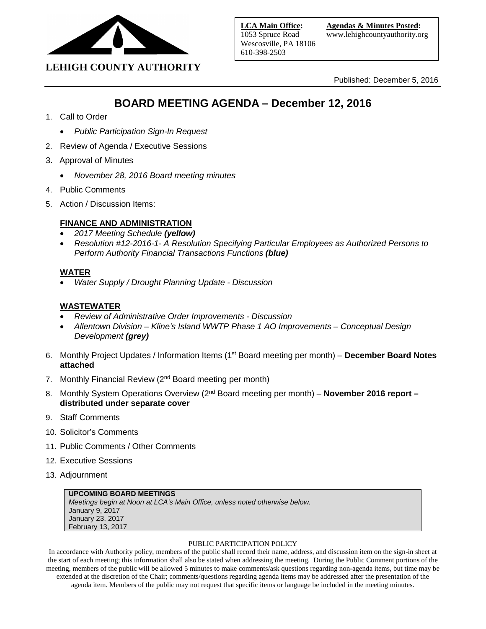

**LEHIGH COUNTY AUTHORITY**

Published: December 5, 2016

# **BOARD MEETING AGENDA – December 12, 2016**

- 1. Call to Order
	- *Public Participation Sign-In Request*
- 2. Review of Agenda / Executive Sessions
- 3. Approval of Minutes
	- *November 28, 2016 Board meeting minutes*
- 4. Public Comments
- 5. Action / Discussion Items:

# **FINANCE AND ADMINISTRATION**

- *2017 Meeting Schedule (yellow)*
- *Resolution #12-2016-1- A Resolution Specifying Particular Employees as Authorized Persons to Perform Authority Financial Transactions Functions (blue)*

# **WATER**

• *Water Supply / Drought Planning Update - Discussion*

# **WASTEWATER**

- *Review of Administrative Order Improvements - Discussion*
- *Allentown Division – Kline's Island WWTP Phase 1 AO Improvements – Conceptual Design Development (grey)*
- 6. Monthly Project Updates / Information Items (1st Board meeting per month) **December Board Notes attached**
- 7. Monthly Financial Review (2<sup>nd</sup> Board meeting per month)
- 8. Monthly System Operations Overview (2<sup>nd</sup> Board meeting per month) **November 2016 report distributed under separate cover**
- 9. Staff Comments
- 10. Solicitor's Comments
- 11. Public Comments / Other Comments
- 12. Executive Sessions
- 13. Adjournment

# **UPCOMING BOARD MEETINGS**

*Meetings begin at Noon at LCA's Main Office, unless noted otherwise below.* January 9, 2017 January 23, 2017 February 13, 2017

#### PUBLIC PARTICIPATION POLICY

In accordance with Authority policy, members of the public shall record their name, address, and discussion item on the sign-in sheet at the start of each meeting; this information shall also be stated when addressing the meeting. During the Public Comment portions of the meeting, members of the public will be allowed 5 minutes to make comments/ask questions regarding non-agenda items, but time may be extended at the discretion of the Chair; comments/questions regarding agenda items may be addressed after the presentation of the agenda item. Members of the public may not request that specific items or language be included in the meeting minutes.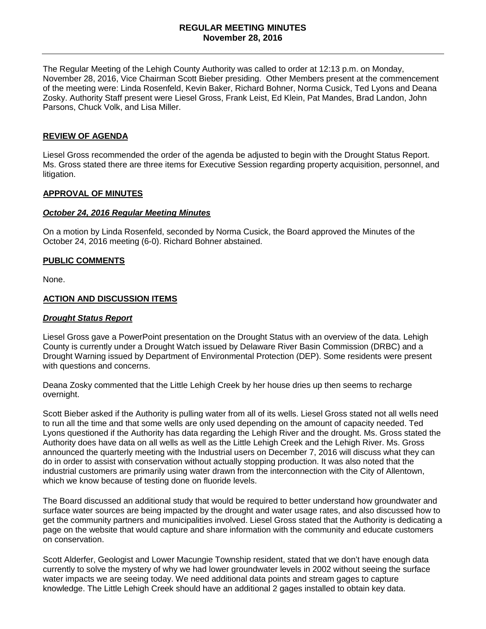# **REGULAR MEETING MINUTES November 28, 2016**

The Regular Meeting of the Lehigh County Authority was called to order at 12:13 p.m. on Monday, November 28, 2016, Vice Chairman Scott Bieber presiding. Other Members present at the commencement of the meeting were: Linda Rosenfeld, Kevin Baker, Richard Bohner, Norma Cusick, Ted Lyons and Deana Zosky. Authority Staff present were Liesel Gross, Frank Leist, Ed Klein, Pat Mandes, Brad Landon, John Parsons, Chuck Volk, and Lisa Miller.

#### **REVIEW OF AGENDA**

Liesel Gross recommended the order of the agenda be adjusted to begin with the Drought Status Report. Ms. Gross stated there are three items for Executive Session regarding property acquisition, personnel, and litigation.

#### **APPROVAL OF MINUTES**

#### *October 24, 2016 Regular Meeting Minutes*

On a motion by Linda Rosenfeld, seconded by Norma Cusick, the Board approved the Minutes of the October 24, 2016 meeting (6-0). Richard Bohner abstained.

#### **PUBLIC COMMENTS**

None.

#### **ACTION AND DISCUSSION ITEMS**

#### *Drought Status Report*

Liesel Gross gave a PowerPoint presentation on the Drought Status with an overview of the data. Lehigh County is currently under a Drought Watch issued by Delaware River Basin Commission (DRBC) and a Drought Warning issued by Department of Environmental Protection (DEP). Some residents were present with questions and concerns.

Deana Zosky commented that the Little Lehigh Creek by her house dries up then seems to recharge overnight.

Scott Bieber asked if the Authority is pulling water from all of its wells. Liesel Gross stated not all wells need to run all the time and that some wells are only used depending on the amount of capacity needed. Ted Lyons questioned if the Authority has data regarding the Lehigh River and the drought. Ms. Gross stated the Authority does have data on all wells as well as the Little Lehigh Creek and the Lehigh River. Ms. Gross announced the quarterly meeting with the Industrial users on December 7, 2016 will discuss what they can do in order to assist with conservation without actually stopping production. It was also noted that the industrial customers are primarily using water drawn from the interconnection with the City of Allentown, which we know because of testing done on fluoride levels.

The Board discussed an additional study that would be required to better understand how groundwater and surface water sources are being impacted by the drought and water usage rates, and also discussed how to get the community partners and municipalities involved. Liesel Gross stated that the Authority is dedicating a page on the website that would capture and share information with the community and educate customers on conservation.

Scott Alderfer, Geologist and Lower Macungie Township resident, stated that we don't have enough data currently to solve the mystery of why we had lower groundwater levels in 2002 without seeing the surface water impacts we are seeing today. We need additional data points and stream gages to capture knowledge. The Little Lehigh Creek should have an additional 2 gages installed to obtain key data.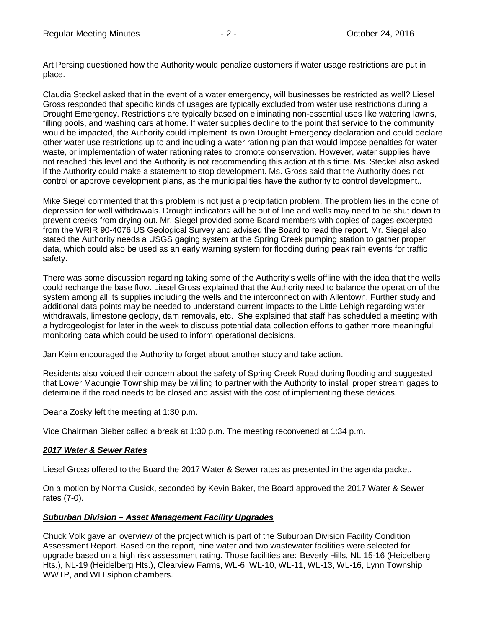Claudia Steckel asked that in the event of a water emergency, will businesses be restricted as well? Liesel Gross responded that specific kinds of usages are typically excluded from water use restrictions during a Drought Emergency. Restrictions are typically based on eliminating non-essential uses like watering lawns, filling pools, and washing cars at home. If water supplies decline to the point that service to the community would be impacted, the Authority could implement its own Drought Emergency declaration and could declare other water use restrictions up to and including a water rationing plan that would impose penalties for water waste, or implementation of water rationing rates to promote conservation. However, water supplies have not reached this level and the Authority is not recommending this action at this time. Ms. Steckel also asked if the Authority could make a statement to stop development. Ms. Gross said that the Authority does not control or approve development plans, as the municipalities have the authority to control development..

Mike Siegel commented that this problem is not just a precipitation problem. The problem lies in the cone of depression for well withdrawals. Drought indicators will be out of line and wells may need to be shut down to prevent creeks from drying out. Mr. Siegel provided some Board members with copies of pages excerpted from the WRIR 90-4076 US Geological Survey and advised the Board to read the report. Mr. Siegel also stated the Authority needs a USGS gaging system at the Spring Creek pumping station to gather proper data, which could also be used as an early warning system for flooding during peak rain events for traffic safety.

There was some discussion regarding taking some of the Authority's wells offline with the idea that the wells could recharge the base flow. Liesel Gross explained that the Authority need to balance the operation of the system among all its supplies including the wells and the interconnection with Allentown. Further study and additional data points may be needed to understand current impacts to the Little Lehigh regarding water withdrawals, limestone geology, dam removals, etc. She explained that staff has scheduled a meeting with a hydrogeologist for later in the week to discuss potential data collection efforts to gather more meaningful monitoring data which could be used to inform operational decisions.

Jan Keim encouraged the Authority to forget about another study and take action.

Residents also voiced their concern about the safety of Spring Creek Road during flooding and suggested that Lower Macungie Township may be willing to partner with the Authority to install proper stream gages to determine if the road needs to be closed and assist with the cost of implementing these devices.

Deana Zosky left the meeting at 1:30 p.m.

Vice Chairman Bieber called a break at 1:30 p.m. The meeting reconvened at 1:34 p.m.

# *2017 Water & Sewer Rates*

Liesel Gross offered to the Board the 2017 Water & Sewer rates as presented in the agenda packet.

On a motion by Norma Cusick, seconded by Kevin Baker, the Board approved the 2017 Water & Sewer rates (7-0).

# *Suburban Division – Asset Management Facility Upgrades*

Chuck Volk gave an overview of the project which is part of the Suburban Division Facility Condition Assessment Report. Based on the report, nine water and two wastewater facilities were selected for upgrade based on a high risk assessment rating. Those facilities are: Beverly Hills, NL 15-16 (Heidelberg Hts.), NL-19 (Heidelberg Hts.), Clearview Farms, WL-6, WL-10, WL-11, WL-13, WL-16, Lynn Township WWTP, and WLI siphon chambers.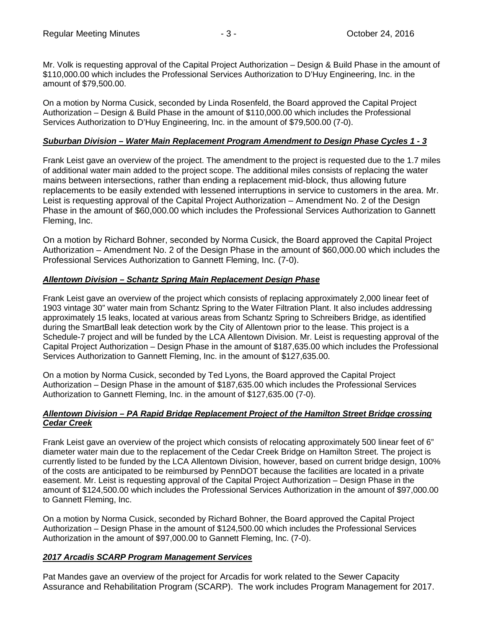Mr. Volk is requesting approval of the Capital Project Authorization – Design & Build Phase in the amount of \$110,000.00 which includes the Professional Services Authorization to D'Huy Engineering, Inc. in the amount of \$79,500.00.

On a motion by Norma Cusick, seconded by Linda Rosenfeld, the Board approved the Capital Project Authorization – Design & Build Phase in the amount of \$110,000.00 which includes the Professional Services Authorization to D'Huy Engineering, Inc. in the amount of \$79,500.00 (7-0).

# *Suburban Division – Water Main Replacement Program Amendment to Design Phase Cycles 1 - 3*

Frank Leist gave an overview of the project. The amendment to the project is requested due to the 1.7 miles of additional water main added to the project scope. The additional miles consists of replacing the water mains between intersections, rather than ending a replacement mid-block, thus allowing future replacements to be easily extended with lessened interruptions in service to customers in the area. Mr. Leist is requesting approval of the Capital Project Authorization – Amendment No. 2 of the Design Phase in the amount of \$60,000.00 which includes the Professional Services Authorization to Gannett Fleming, Inc.

On a motion by Richard Bohner, seconded by Norma Cusick, the Board approved the Capital Project Authorization – Amendment No. 2 of the Design Phase in the amount of \$60,000.00 which includes the Professional Services Authorization to Gannett Fleming, Inc. (7-0).

# *Allentown Division – Schantz Spring Main Replacement Design Phase*

Frank Leist gave an overview of the project which consists of replacing approximately 2,000 linear feet of 1903 vintage 30" water main from Schantz Spring to the Water Filtration Plant. It also includes addressing approximately 15 leaks, located at various areas from Schantz Spring to Schreibers Bridge, as identified during the SmartBall leak detection work by the City of Allentown prior to the lease. This project is a Schedule-7 project and will be funded by the LCA Allentown Division. Mr. Leist is requesting approval of the Capital Project Authorization – Design Phase in the amount of \$187,635.00 which includes the Professional Services Authorization to Gannett Fleming, Inc. in the amount of \$127,635.00.

On a motion by Norma Cusick, seconded by Ted Lyons, the Board approved the Capital Project Authorization – Design Phase in the amount of \$187,635.00 which includes the Professional Services Authorization to Gannett Fleming, Inc. in the amount of \$127,635.00 (7-0).

# *Allentown Division – PA Rapid Bridge Replacement Project of the Hamilton Street Bridge crossing Cedar Creek*

Frank Leist gave an overview of the project which consists of relocating approximately 500 linear feet of 6" diameter water main due to the replacement of the Cedar Creek Bridge on Hamilton Street. The project is currently listed to be funded by the LCA Allentown Division, however, based on current bridge design, 100% of the costs are anticipated to be reimbursed by PennDOT because the facilities are located in a private easement. Mr. Leist is requesting approval of the Capital Project Authorization – Design Phase in the amount of \$124,500.00 which includes the Professional Services Authorization in the amount of \$97,000.00 to Gannett Fleming, Inc.

On a motion by Norma Cusick, seconded by Richard Bohner, the Board approved the Capital Project Authorization – Design Phase in the amount of \$124,500.00 which includes the Professional Services Authorization in the amount of \$97,000.00 to Gannett Fleming, Inc. (7-0).

# *2017 Arcadis SCARP Program Management Services*

Pat Mandes gave an overview of the project for Arcadis for work related to the Sewer Capacity Assurance and Rehabilitation Program (SCARP). The work includes Program Management for 2017.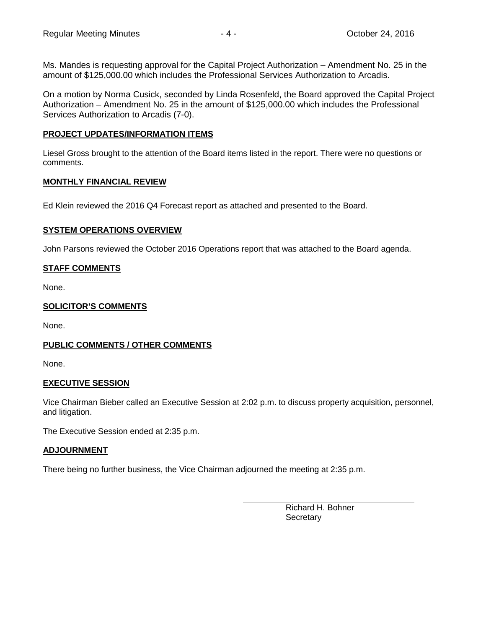Ms. Mandes is requesting approval for the Capital Project Authorization – Amendment No. 25 in the amount of \$125,000.00 which includes the Professional Services Authorization to Arcadis.

On a motion by Norma Cusick, seconded by Linda Rosenfeld, the Board approved the Capital Project Authorization – Amendment No. 25 in the amount of \$125,000.00 which includes the Professional Services Authorization to Arcadis (7-0).

# **PROJECT UPDATES/INFORMATION ITEMS**

Liesel Gross brought to the attention of the Board items listed in the report. There were no questions or comments.

# **MONTHLY FINANCIAL REVIEW**

Ed Klein reviewed the 2016 Q4 Forecast report as attached and presented to the Board.

# **SYSTEM OPERATIONS OVERVIEW**

John Parsons reviewed the October 2016 Operations report that was attached to the Board agenda.

# **STAFF COMMENTS**

None.

# **SOLICITOR'S COMMENTS**

None.

# **PUBLIC COMMENTS / OTHER COMMENTS**

None.

# **EXECUTIVE SESSION**

Vice Chairman Bieber called an Executive Session at 2:02 p.m. to discuss property acquisition, personnel, and litigation.

The Executive Session ended at 2:35 p.m.

# **ADJOURNMENT**

There being no further business, the Vice Chairman adjourned the meeting at 2:35 p.m.

Richard H. Bohner **Secretary**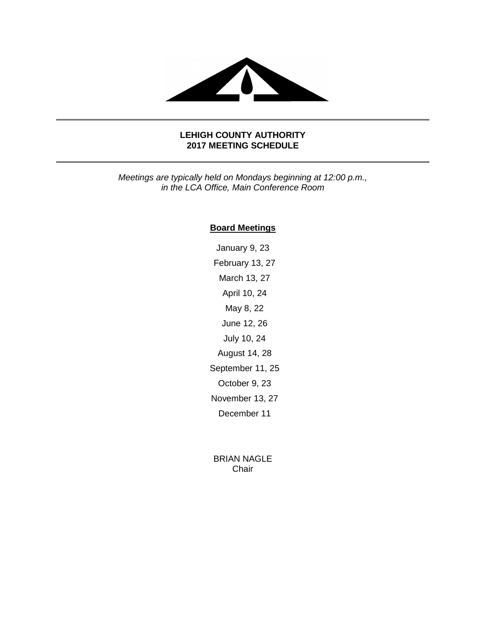

# **LEHIGH COUNTY AUTHORITY 2017 MEETING SCHEDULE**

*Meetings are typically held on Mondays beginning at 12:00 p.m., in the LCA Office, Main Conference Room*

# **Board Meetings**

January 9, 23 February 13, 27 March 13, 27 April 10, 24 May 8, 22 June 12, 26 July 10, 24 August 14, 28 September 11, 25 October 9, 23 November 13, 27 December 11

BRIAN NAGLE Chair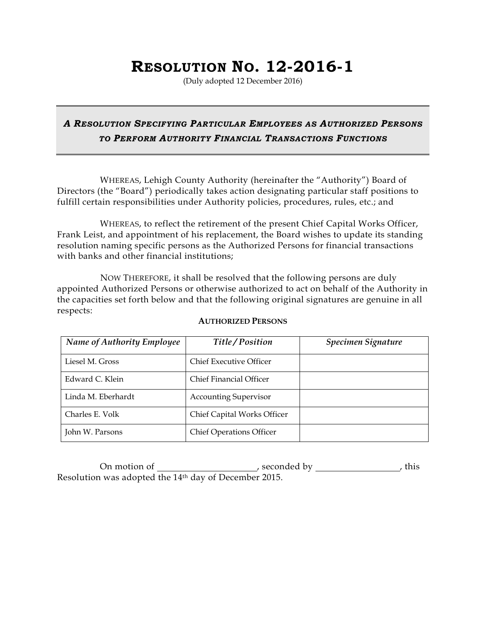# **RESOLUTION NO. 12-2016-1**

(Duly adopted 12 December 2016)

# *A RESOLUTION SPECIFYING PARTICULAR EMPLOYEES AS AUTHORIZED PERSONS TO PERFORM AUTHORITY FINANCIAL TRANSACTIONS FUNCTIONS*

WHEREAS, Lehigh County Authority (hereinafter the "Authority") Board of Directors (the "Board") periodically takes action designating particular staff positions to fulfill certain responsibilities under Authority policies, procedures, rules, etc.; and

WHEREAS, to reflect the retirement of the present Chief Capital Works Officer, Frank Leist, and appointment of his replacement, the Board wishes to update its standing resolution naming specific persons as the Authorized Persons for financial transactions with banks and other financial institutions;

NOW THEREFORE, it shall be resolved that the following persons are duly appointed Authorized Persons or otherwise authorized to act on behalf of the Authority in the capacities set forth below and that the following original signatures are genuine in all respects:

| <b>Name of Authority Employee</b> | Title/Position                  | Specimen Signature |
|-----------------------------------|---------------------------------|--------------------|
| Liesel M. Gross                   | Chief Executive Officer         |                    |
| Edward C. Klein                   | Chief Financial Officer         |                    |
| Linda M. Eberhardt                | <b>Accounting Supervisor</b>    |                    |
| Charles E. Volk                   | Chief Capital Works Officer     |                    |
| John W. Parsons                   | <b>Chief Operations Officer</b> |                    |

# **AUTHORIZED PERSONS**

On motion of , seconded by , this Resolution was adopted the 14th day of December 2015.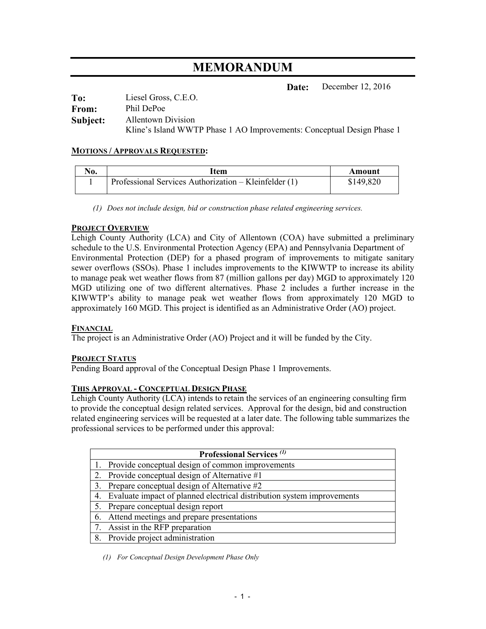# **MEMORANDUM**

**Date:** December 12, 2016

| To:      | Liesel Gross, C.E.O.                                                   |
|----------|------------------------------------------------------------------------|
| From:    | Phil DePoe                                                             |
| Subject: | Allentown Division                                                     |
|          | Kline's Island WWTP Phase 1 AO Improvements: Conceptual Design Phase 1 |

# **MOTIONS / APPROVALS REQUESTED:**

| $\mathbf{N_0}$ | ltem                                                  | Amount    |
|----------------|-------------------------------------------------------|-----------|
|                | Professional Services Authorization – Kleinfelder (1) | \$149,820 |

*(1) Does not include design, bid or construction phase related engineering services.* 

# **PROJECT OVERVIEW**

Lehigh County Authority (LCA) and City of Allentown (COA) have submitted a preliminary schedule to the U.S. Environmental Protection Agency (EPA) and Pennsylvania Department of Environmental Protection (DEP) for a phased program of improvements to mitigate sanitary sewer overflows (SSOs). Phase 1 includes improvements to the KIWWTP to increase its ability to manage peak wet weather flows from 87 (million gallons per day) MGD to approximately 120 MGD utilizing one of two different alternatives. Phase 2 includes a further increase in the KIWWTP's ability to manage peak wet weather flows from approximately 120 MGD to approximately 160 MGD. This project is identified as an Administrative Order (AO) project.

# **FINANCIAL**

The project is an Administrative Order (AO) Project and it will be funded by the City.

# **PROJECT STATUS**

Pending Board approval of the Conceptual Design Phase 1 Improvements.

# **THIS APPROVAL - CONCEPTUAL DESIGN PHASE**

Lehigh County Authority (LCA) intends to retain the services of an engineering consulting firm to provide the conceptual design related services. Approval for the design, bid and construction related engineering services will be requested at a later date. The following table summarizes the professional services to be performed under this approval:

|    | <b>Professional Services</b> (1)                                       |  |  |
|----|------------------------------------------------------------------------|--|--|
|    | 1. Provide conceptual design of common improvements                    |  |  |
|    | Provide conceptual design of Alternative #1                            |  |  |
|    | Prepare conceptual design of Alternative #2                            |  |  |
| 4. | Evaluate impact of planned electrical distribution system improvements |  |  |
| 5. | Prepare conceptual design report                                       |  |  |
| 6. | Attend meetings and prepare presentations                              |  |  |
|    | Assist in the RFP preparation                                          |  |  |
|    | 8. Provide project administration                                      |  |  |

*(1) For Conceptual Design Development Phase Only*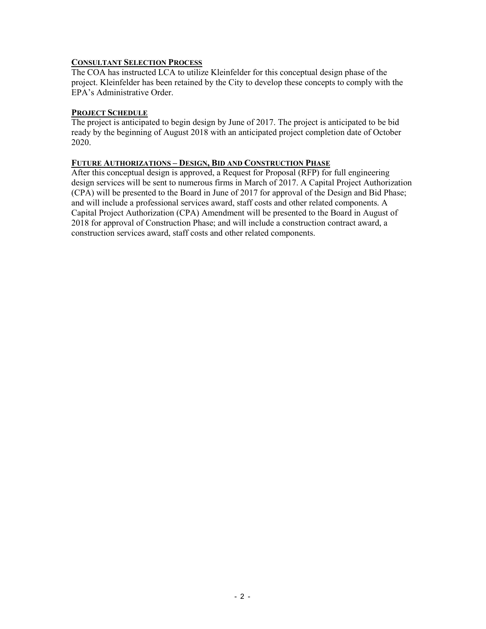# **CONSULTANT SELECTION PROCESS**

The COA has instructed LCA to utilize Kleinfelder for this conceptual design phase of the project. Kleinfelder has been retained by the City to develop these concepts to comply with the EPA's Administrative Order.

# **PROJECT SCHEDULE**

The project is anticipated to begin design by June of 2017. The project is anticipated to be bid ready by the beginning of August 2018 with an anticipated project completion date of October 2020.

# **FUTURE AUTHORIZATIONS – DESIGN, BID AND CONSTRUCTION PHASE**

After this conceptual design is approved, a Request for Proposal (RFP) for full engineering design services will be sent to numerous firms in March of 2017. A Capital Project Authorization (CPA) will be presented to the Board in June of 2017 for approval of the Design and Bid Phase; and will include a professional services award, staff costs and other related components. A Capital Project Authorization (CPA) Amendment will be presented to the Board in August of 2018 for approval of Construction Phase; and will include a construction contract award, a construction services award, staff costs and other related components.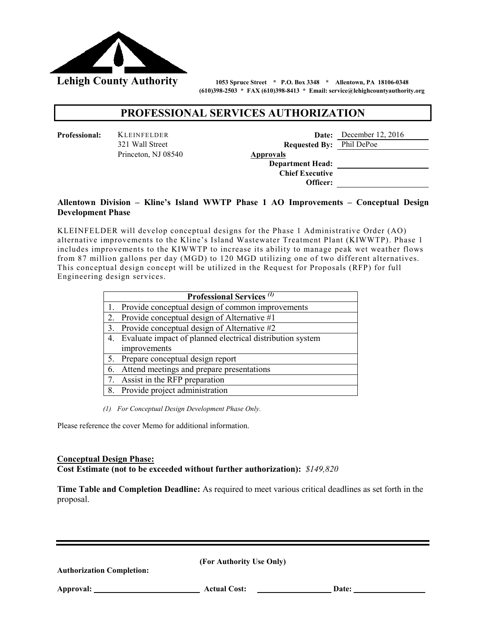

 **(610)398-2503 \* FAX (610)398-8413 \* Email: service@lehighcountyauthority.org** 

# **PROFESSIONAL SERVICES AUTHORIZATION**

| ssional: | <b>KLEINFELDER</b>  |                  |
|----------|---------------------|------------------|
|          | 321 Wall Street     |                  |
|          | Princeton, NJ 08540 | <b>Approvals</b> |

| Professional: | <b>KLEINFELDER</b>  |                                 | <b>Date:</b> December 12, 2016 |
|---------------|---------------------|---------------------------------|--------------------------------|
|               | 321 Wall Street     | <b>Requested By:</b> Phil DePoe |                                |
|               | Princeton, NJ 08540 | <b>Approvals</b>                |                                |
|               |                     | <b>Department Head:</b>         |                                |
|               |                     | <b>Chief Executive</b>          |                                |
|               |                     | Officer:                        |                                |

# **Development Phase Allentown Division – Kline's Island WWTP Phase 1 AO Improvements – Conceptual Design**

 from 87 million gallons per day (MGD) to 120 MGD utilizing one of two different alternatives. KLEINFELDER will develop conceptual designs for the Phase 1 Administrative Order (AO) alternative improvements to the Kline's Island Wastewater Treatment Plant (KIWWTP). Phase 1 includes improvements to the KIWWTP to increase its ability to manage peak wet weather flows This conceptual design concept will be utilized in the Request for Proposals (RFP) for full Engineering design services.

|    | <b>Professional Services</b> (1)                             |
|----|--------------------------------------------------------------|
|    | 1. Provide conceptual design of common improvements          |
|    | 2. Provide conceptual design of Alternative #1               |
|    | 3. Provide conceptual design of Alternative #2               |
|    | 4. Evaluate impact of planned electrical distribution system |
|    | improvements                                                 |
|    | 5. Prepare conceptual design report                          |
| 6. | Attend meetings and prepare presentations                    |
|    | 7. Assist in the RFP preparation                             |
|    | 8. Provide project administration                            |

*(1) For Conceptual Design Development Phase Only.* 

Please reference the cover Memo for additional information.

# **Conceptual Design Phase:**

**Cost Estimate (not to be exceeded without further authorization):** *\$149,820* 

**Time Table and Completion Deadline:** As required to meet various critical deadlines as set forth in the proposal.

**(For Authority Use Only)**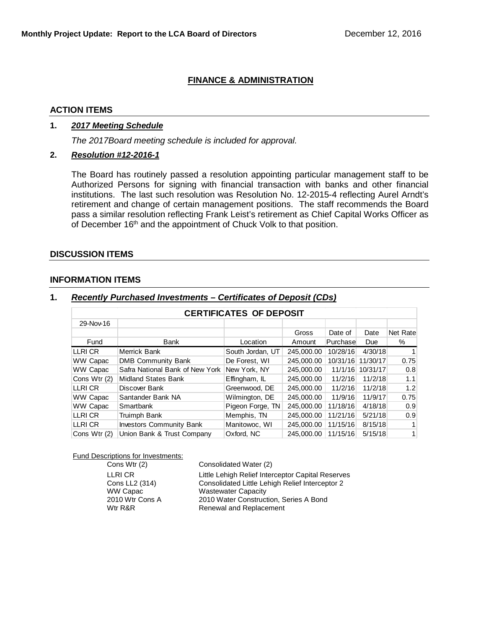# **FINANCE & ADMINISTRATION**

# **ACTION ITEMS**

# **1.** *2017 Meeting Schedule*

*The 2017Board meeting schedule is included for approval.*

# **2.** *Resolution #12-2016-1*

The Board has routinely passed a resolution appointing particular management staff to be Authorized Persons for signing with financial transaction with banks and other financial institutions. The last such resolution was Resolution No. 12-2015-4 reflecting Aurel Arndt's retirement and change of certain management positions. The staff recommends the Board pass a similar resolution reflecting Frank Leist's retirement as Chief Capital Works Officer as of December 16<sup>th</sup> and the appointment of Chuck Volk to that position.

#### **DISCUSSION ITEMS**

#### **INFORMATION ITEMS**

| <b>CERTIFICATES OF DEPOSIT</b> |                                 |                  |            |          |          |          |
|--------------------------------|---------------------------------|------------------|------------|----------|----------|----------|
| 29-Nov-16                      |                                 |                  |            |          |          |          |
|                                |                                 |                  | Gross      | Date of  | Date     | Net Rate |
| Fund                           | Bank                            | Location         | Amount     | Purchase | Due      | %        |
| LLRI CR                        | Merrick Bank                    | South Jordan, UT | 245.000.00 | 10/28/16 | 4/30/18  |          |
| WW Capac                       | <b>DMB Community Bank</b>       | De Forest. WI    | 245.000.00 | 10/31/16 | 11/30/17 | 0.75     |
| <b>WW Capac</b>                | Safra National Bank of New York | New York, NY     | 245.000.00 | 11/1/16  | 10/31/17 | 0.8      |
| Cons Wtr (2)                   | <b>Midland States Bank</b>      | Effingham, IL    | 245.000.00 | 11/2/16  | 11/2/18  | 1.1      |
| LLRI CR                        | Discover Bank                   | Greenwood, DE    | 245,000.00 | 11/2/16  | 11/2/18  | 1.2      |
| <b>WW Capac</b>                | Santander Bank NA               | Wilmington, DE   | 245,000,00 | 11/9/16  | 11/9/17  | 0.75     |
| <b>WW Capac</b>                | Smartbank                       | Pigeon Forge, TN | 245.000.00 | 11/18/16 | 4/18/18  | 0.9      |
| LLRI CR                        | Truimph Bank                    | Memphis, TN      | 245,000.00 | 11/21/16 | 5/21/18  | 0.9      |
| LLRI CR                        | <b>Investors Community Bank</b> | Manitowoc, WI    | 245,000.00 | 11/15/16 | 8/15/18  |          |
| Cons Wtr (2)                   | Union Bank & Trust Company      | Oxford, NC       | 245,000.00 | 11/15/16 | 5/15/18  | 1        |

# **1.** *Recently Purchased Investments – Certificates of Deposit (CDs)*

Fund Descriptions for Investments:

| Cons Wtr (2)    | Consolidated Water (2)                            |
|-----------------|---------------------------------------------------|
| LLRI CR         | Little Lehigh Relief Interceptor Capital Reserves |
| Cons LL2 (314)  | Consolidated Little Lehigh Relief Interceptor 2   |
| <b>WW Capac</b> | <b>Wastewater Capacity</b>                        |
| 2010 Wtr Cons A | 2010 Water Construction, Series A Bond            |
| Wtr R&R         | Renewal and Replacement                           |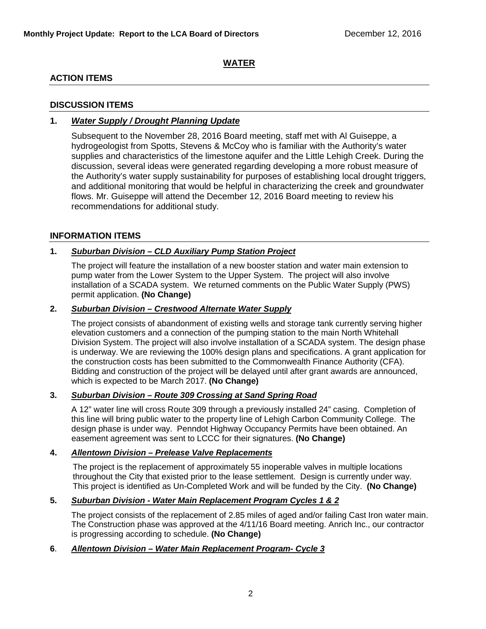# **WATER**

# **ACTION ITEMS**

# **DISCUSSION ITEMS**

# **1.** *Water Supply / Drought Planning Update*

Subsequent to the November 28, 2016 Board meeting, staff met with Al Guiseppe, a hydrogeologist from Spotts, Stevens & McCoy who is familiar with the Authority's water supplies and characteristics of the limestone aquifer and the Little Lehigh Creek. During the discussion, several ideas were generated regarding developing a more robust measure of the Authority's water supply sustainability for purposes of establishing local drought triggers, and additional monitoring that would be helpful in characterizing the creek and groundwater flows. Mr. Guiseppe will attend the December 12, 2016 Board meeting to review his recommendations for additional study.

# **INFORMATION ITEMS**

# **1.** *Suburban Division – CLD Auxiliary Pump Station Project*

The project will feature the installation of a new booster station and water main extension to pump water from the Lower System to the Upper System. The project will also involve installation of a SCADA system. We returned comments on the Public Water Supply (PWS) permit application. **(No Change)**

# **2.** *Suburban Division – Crestwood Alternate Water Supply*

The project consists of abandonment of existing wells and storage tank currently serving higher elevation customers and a connection of the pumping station to the main North Whitehall Division System. The project will also involve installation of a SCADA system. The design phase is underway. We are reviewing the 100% design plans and specifications. A grant application for the construction costs has been submitted to the Commonwealth Finance Authority (CFA). Bidding and construction of the project will be delayed until after grant awards are announced, which is expected to be March 2017. **(No Change)**

# **3.** *Suburban Division – Route 309 Crossing at Sand Spring Road*

A 12" water line will cross Route 309 through a previously installed 24" casing. Completion of this line will bring public water to the property line of Lehigh Carbon Community College. The design phase is under way. Penndot Highway Occupancy Permits have been obtained. An easement agreement was sent to LCCC for their signatures. **(No Change)**

# **4.** *Allentown Division – Prelease Valve Replacements*

The project is the replacement of approximately 55 inoperable valves in multiple locations throughout the City that existed prior to the lease settlement. Design is currently under way. This project is identified as Un-Completed Work and will be funded by the City. **(No Change)**

# **5.** *Suburban Division - Water Main Replacement Program Cycles 1 & 2*

The project consists of the replacement of 2.85 miles of aged and/or failing Cast Iron water main. The Construction phase was approved at the 4/11/16 Board meeting. Anrich Inc., our contractor is progressing according to schedule. **(No Change)**

# **6**. *Allentown Division – Water Main Replacement Program- Cycle 3*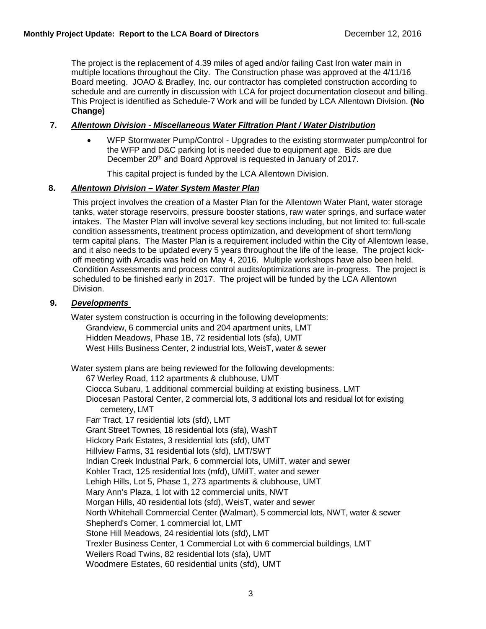The project is the replacement of 4.39 miles of aged and/or failing Cast Iron water main in multiple locations throughout the City. The Construction phase was approved at the 4/11/16 Board meeting. JOAO & Bradley, Inc. our contractor has completed construction according to schedule and are currently in discussion with LCA for project documentation closeout and billing. This Project is identified as Schedule-7 Work and will be funded by LCA Allentown Division. **(No Change)**

# **7.** *Allentown Division - Miscellaneous Water Filtration Plant / Water Distribution*

• WFP Stormwater Pump/Control - Upgrades to the existing stormwater pump/control for the WFP and D&C parking lot is needed due to equipment age. Bids are due December 20<sup>th</sup> and Board Approval is requested in January of 2017.

This capital project is funded by the LCA Allentown Division.

# **8.** *Allentown Division – Water System Master Plan*

This project involves the creation of a Master Plan for the Allentown Water Plant, water storage tanks, water storage reservoirs, pressure booster stations, raw water springs, and surface water intakes. The Master Plan will involve several key sections including, but not limited to: full-scale condition assessments, treatment process optimization, and development of short term/long term capital plans. The Master Plan is a requirement included within the City of Allentown lease, and it also needs to be updated every 5 years throughout the life of the lease. The project kickoff meeting with Arcadis was held on May 4, 2016. Multiple workshops have also been held. Condition Assessments and process control audits/optimizations are in-progress. The project is scheduled to be finished early in 2017. The project will be funded by the LCA Allentown Division.

# **9.** *Developments*

Water system construction is occurring in the following developments: Grandview, 6 commercial units and 204 apartment units, LMT Hidden Meadows, Phase 1B, 72 residential lots (sfa), UMT West Hills Business Center, 2 industrial lots, WeisT, water & sewer

Water system plans are being reviewed for the following developments: 67 Werley Road, 112 apartments & clubhouse, UMT Ciocca Subaru, 1 additional commercial building at existing business, LMT Diocesan Pastoral Center, 2 commercial lots, 3 additional lots and residual lot for existing cemetery, LMT Farr Tract, 17 residential lots (sfd), LMT Grant Street Townes, 18 residential lots (sfa), WashT Hickory Park Estates, 3 residential lots (sfd), UMT Hillview Farms, 31 residential lots (sfd), LMT/SWT Indian Creek Industrial Park, 6 commercial lots, UMilT, water and sewer Kohler Tract, 125 residential lots (mfd), UMilT, water and sewer Lehigh Hills, Lot 5, Phase 1, 273 apartments & clubhouse, UMT Mary Ann's Plaza, 1 lot with 12 commercial units, NWT Morgan Hills, 40 residential lots (sfd), WeisT, water and sewer North Whitehall Commercial Center (Walmart), 5 commercial lots, NWT, water & sewer Shepherd's Corner, 1 commercial lot, LMT Stone Hill Meadows, 24 residential lots (sfd), LMT Trexler Business Center, 1 Commercial Lot with 6 commercial buildings, LMT Weilers Road Twins, 82 residential lots (sfa), UMT Woodmere Estates, 60 residential units (sfd), UMT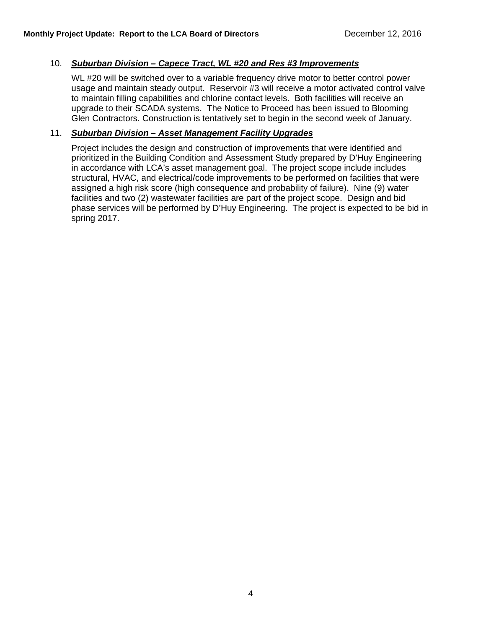# 10. *Suburban Division – Capece Tract, WL #20 and Res #3 Improvements*

WL #20 will be switched over to a variable frequency drive motor to better control power usage and maintain steady output. Reservoir #3 will receive a motor activated control valve to maintain filling capabilities and chlorine contact levels. Both facilities will receive an upgrade to their SCADA systems. The Notice to Proceed has been issued to Blooming Glen Contractors. Construction is tentatively set to begin in the second week of January.

# 11. *Suburban Division – Asset Management Facility Upgrades*

Project includes the design and construction of improvements that were identified and prioritized in the Building Condition and Assessment Study prepared by D'Huy Engineering in accordance with LCA's asset management goal. The project scope include includes structural, HVAC, and electrical/code improvements to be performed on facilities that were assigned a high risk score (high consequence and probability of failure). Nine (9) water facilities and two (2) wastewater facilities are part of the project scope. Design and bid phase services will be performed by D'Huy Engineering. The project is expected to be bid in spring 2017.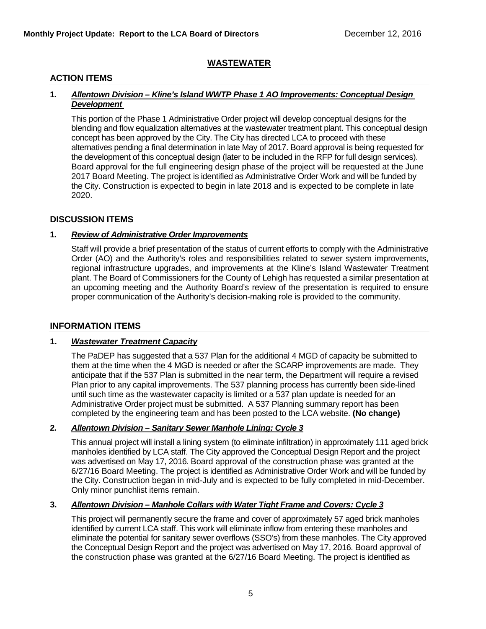# **WASTEWATER**

# **ACTION ITEMS**

#### **1.** *Allentown Division – Kline's Island WWTP Phase 1 AO Improvements: Conceptual Design Development*

This portion of the Phase 1 Administrative Order project will develop conceptual designs for the blending and flow equalization alternatives at the wastewater treatment plant. This conceptual design concept has been approved by the City. The City has directed LCA to proceed with these alternatives pending a final determination in late May of 2017. Board approval is being requested for the development of this conceptual design (later to be included in the RFP for full design services). Board approval for the full engineering design phase of the project will be requested at the June 2017 Board Meeting. The project is identified as Administrative Order Work and will be funded by the City. Construction is expected to begin in late 2018 and is expected to be complete in late 2020.

# **DISCUSSION ITEMS**

# **1.** *Review of Administrative Order Improvements*

Staff will provide a brief presentation of the status of current efforts to comply with the Administrative Order (AO) and the Authority's roles and responsibilities related to sewer system improvements, regional infrastructure upgrades, and improvements at the Kline's Island Wastewater Treatment plant. The Board of Commissioners for the County of Lehigh has requested a similar presentation at an upcoming meeting and the Authority Board's review of the presentation is required to ensure proper communication of the Authority's decision-making role is provided to the community.

# **INFORMATION ITEMS**

# **1.** *Wastewater Treatment Capacity*

The PaDEP has suggested that a 537 Plan for the additional 4 MGD of capacity be submitted to them at the time when the 4 MGD is needed or after the SCARP improvements are made. They anticipate that if the 537 Plan is submitted in the near term, the Department will require a revised Plan prior to any capital improvements. The 537 planning process has currently been side-lined until such time as the wastewater capacity is limited or a 537 plan update is needed for an Administrative Order project must be submitted. A 537 Planning summary report has been completed by the engineering team and has been posted to the LCA website. **(No change)**

# **2.** *Allentown Division – Sanitary Sewer Manhole Lining: Cycle 3*

This annual project will install a lining system (to eliminate infiltration) in approximately 111 aged brick manholes identified by LCA staff. The City approved the Conceptual Design Report and the project was advertised on May 17, 2016. Board approval of the construction phase was granted at the 6/27/16 Board Meeting. The project is identified as Administrative Order Work and will be funded by the City. Construction began in mid-July and is expected to be fully completed in mid-December. Only minor punchlist items remain.

# **3.** *Allentown Division – Manhole Collars with Water Tight Frame and Covers: Cycle 3*

This project will permanently secure the frame and cover of approximately 57 aged brick manholes identified by current LCA staff. This work will eliminate inflow from entering these manholes and eliminate the potential for sanitary sewer overflows (SSO's) from these manholes. The City approved the Conceptual Design Report and the project was advertised on May 17, 2016. Board approval of the construction phase was granted at the 6/27/16 Board Meeting. The project is identified as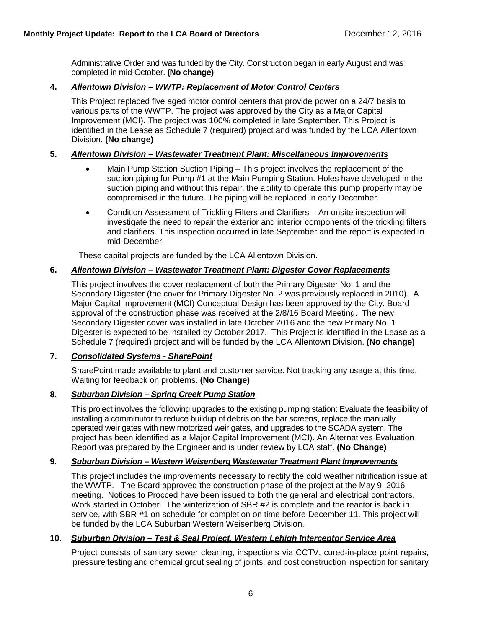Administrative Order and was funded by the City. Construction began in early August and was completed in mid-October. **(No change)**

# **4.** *Allentown Division – WWTP: Replacement of Motor Control Centers*

This Project replaced five aged motor control centers that provide power on a 24/7 basis to various parts of the WWTP. The project was approved by the City as a Major Capital Improvement (MCI). The project was 100% completed in late September. This Project is identified in the Lease as Schedule 7 (required) project and was funded by the LCA Allentown Division. **(No change)**

# **5.** *Allentown Division – Wastewater Treatment Plant: Miscellaneous Improvements*

- Main Pump Station Suction Piping This project involves the replacement of the suction piping for Pump #1 at the Main Pumping Station. Holes have developed in the suction piping and without this repair, the ability to operate this pump properly may be compromised in the future. The piping will be replaced in early December.
- Condition Assessment of Trickling Filters and Clarifiers An onsite inspection will investigate the need to repair the exterior and interior components of the trickling filters and clarifiers. This inspection occurred in late September and the report is expected in mid-December.

These capital projects are funded by the LCA Allentown Division.

# **6.** *Allentown Division – Wastewater Treatment Plant: Digester Cover Replacements*

This project involves the cover replacement of both the Primary Digester No. 1 and the Secondary Digester (the cover for Primary Digester No. 2 was previously replaced in 2010). A Major Capital Improvement (MCI) Conceptual Design has been approved by the City. Board approval of the construction phase was received at the 2/8/16 Board Meeting. The new Secondary Digester cover was installed in late October 2016 and the new Primary No. 1 Digester is expected to be installed by October 2017. This Project is identified in the Lease as a Schedule 7 (required) project and will be funded by the LCA Allentown Division. **(No change)**

# **7.** *Consolidated Systems - SharePoint*

SharePoint made available to plant and customer service. Not tracking any usage at this time. Waiting for feedback on problems. **(No Change)**

# **8.** *Suburban Division – Spring Creek Pump Station*

This project involves the following upgrades to the existing pumping station: Evaluate the feasibility of installing a comminutor to reduce buildup of debris on the bar screens, replace the manually operated weir gates with new motorized weir gates, and upgrades to the SCADA system. The project has been identified as a Major Capital Improvement (MCI). An Alternatives Evaluation Report was prepared by the Engineer and is under review by LCA staff. **(No Change)**

# **9**. *Suburban Division – Western Weisenberg Wastewater Treatment Plant Improvements*

This project includes the improvements necessary to rectify the cold weather nitrification issue at the WWTP. The Board approved the construction phase of the project at the May 9, 2016 meeting. Notices to Procced have been issued to both the general and electrical contractors. Work started in October. The winterization of SBR #2 is complete and the reactor is back in service, with SBR #1 on schedule for completion on time before December 11. This project will be funded by the LCA Suburban Western Weisenberg Division.

# **10**. *Suburban Division – Test & Seal Project, Western Lehigh Interceptor Service Area*

Project consists of sanitary sewer cleaning, inspections via CCTV, cured-in-place point repairs, pressure testing and chemical grout sealing of joints, and post construction inspection for sanitary